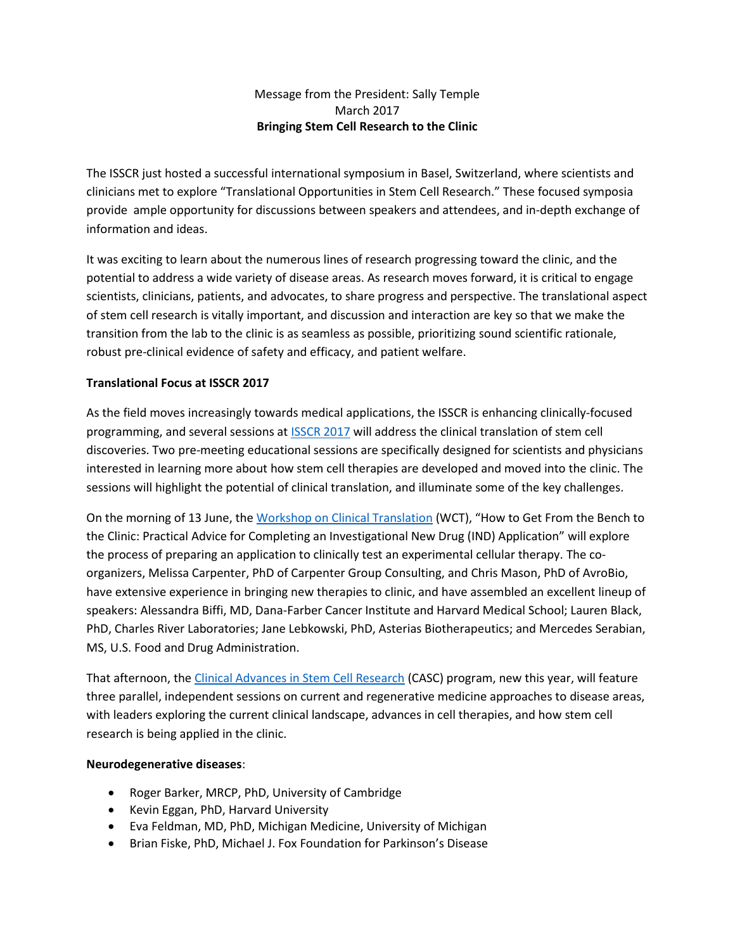# Message from the President: Sally Temple March 2017 **Bringing Stem Cell Research to the Clinic**

The ISSCR just hosted a successful international symposium in Basel, Switzerland, where scientists and clinicians met to explore "Translational Opportunities in Stem Cell Research." These focused symposia provide ample opportunity for discussions between speakers and attendees, and in-depth exchange of information and ideas.

It was exciting to learn about the numerous lines of research progressing toward the clinic, and the potential to address a wide variety of disease areas. As research moves forward, it is critical to engage scientists, clinicians, patients, and advocates, to share progress and perspective. The translational aspect of stem cell research is vitally important, and discussion and interaction are key so that we make the transition from the lab to the clinic is as seamless as possible, prioritizing sound scientific rationale, robust pre-clinical evidence of safety and efficacy, and patient welfare.

# **Translational Focus at ISSCR 2017**

As the field moves increasingly towards medical applications, the ISSCR is enhancing clinically-focused programming, and several sessions at [ISSCR 2017](http://www.isscr.org/home/annual-meeting/isscr-2017-boston) will address the clinical translation of stem cell discoveries. Two pre-meeting educational sessions are specifically designed for scientists and physicians interested in learning more about how stem cell therapies are developed and moved into the clinic. The sessions will highlight the potential of clinical translation, and illuminate some of the key challenges.

On the morning of 13 June, th[e Workshop on Clinical Translation](http://www.isscr.org/home/annual-meeting/isscr-2017-boston/program/program-schedule/workshop-on-clinical-translation) (WCT), "How to Get From the Bench to the Clinic: Practical Advice for Completing an Investigational New Drug (IND) Application" will explore the process of preparing an application to clinically test an experimental cellular therapy. The coorganizers, Melissa Carpenter, PhD of Carpenter Group Consulting, and Chris Mason, PhD of AvroBio, have extensive experience in bringing new therapies to clinic, and have assembled an excellent lineup of speakers: Alessandra Biffi, MD, Dana-Farber Cancer Institute and Harvard Medical School; Lauren Black, PhD, Charles River Laboratories; Jane Lebkowski, PhD, Asterias Biotherapeutics; and Mercedes Serabian, MS, U.S. Food and Drug Administration.

That afternoon, the [Clinical Advances in Stem Cell Research](http://www.isscr.org/home/annual-meeting/isscr-2017-boston/program/program-schedule/clinical-advances-in-stem-cell-research) (CASC) program, new this year, will feature three parallel, independent sessions on current and regenerative medicine approaches to disease areas, with leaders exploring the current clinical landscape, advances in cell therapies, and how stem cell research is being applied in the clinic.

### **Neurodegenerative diseases**:

- Roger Barker, MRCP, PhD, University of Cambridge
- Kevin Eggan, PhD, Harvard University
- Eva Feldman, MD, PhD, Michigan Medicine, University of Michigan
- Brian Fiske, PhD, Michael J. Fox Foundation for Parkinson's Disease